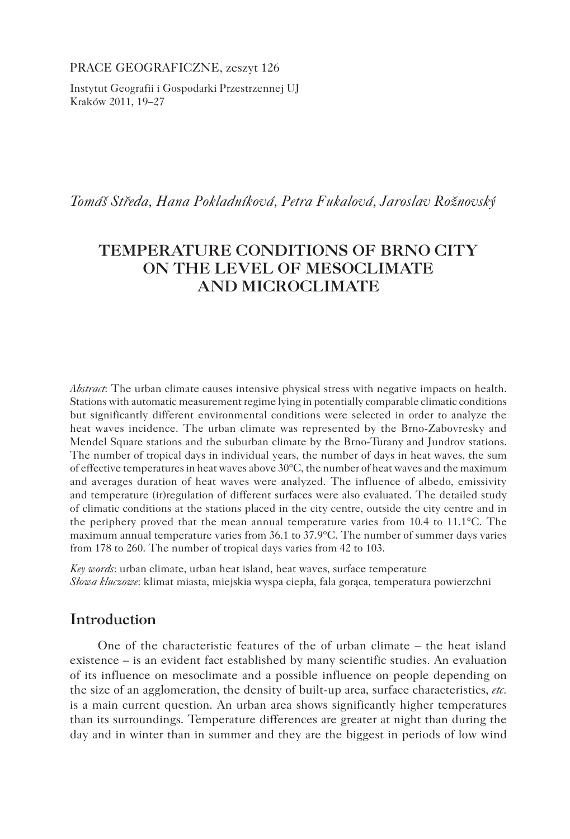PRACE GEOGRAFICZNE, zeszyt 126

Instytut Geografii i Gospodarki Przestrzennej UJ Kraków 2011, 19–27

*Tomáš Středa, Hana Pokladníková, Petra Fukalová, Jaroslav Rožnovský*

# **TEMPERATURE CONDITIONS OF BRNO CITY ON THE LEVEL OF MESOCLIMATE AND MICROCLIMATE**

*Abstract*: The urban climate causes intensive physical stress with negative impacts on health. Stations with automatic measurement regime lying in potentially comparable climatic conditions but significantly different environmental conditions were selected in order to analyze the heat waves incidence. The urban climate was represented by the Brno-Zabovresky and Mendel Square stations and the suburban climate by the Brno-Turany and Jundrov stations. The number of tropical days in individual years, the number of days in heat waves, the sum of effective temperatures in heat waves above 30°C, the number of heat waves and the maximum and averages duration of heat waves were analyzed. The influence of albedo, emissivity and temperature (ir)regulation of different surfaces were also evaluated. The detailed study of climatic conditions at the stations placed in the city centre, outside the city centre and in the periphery proved that the mean annual temperature varies from 10.4 to 11.1°C. The maximum annual temperature varies from 36.1 to 37.9°C. The number of summer days varies from 178 to 260. The number of tropical days varies from 42 to 103.

*Key words*: urban climate, urban heat island, heat waves, surface temperature *Słowa kluczowe*: klimat miasta, miejskia wyspa ciepła, fala gorąca, temperatura powierzchni

## **Introduction**

One of the characteristic features of the of urban climate – the heat island existence – is an evident fact established by many scientific studies. An evaluation of its influence on mesoclimate and a possible influence on people depending on the size of an agglomeration, the density of built-up area, surface characteristics, *etc.*  is a main current question. An urban area shows significantly higher temperatures than its surroundings. Temperature differences are greater at night than during the day and in winter than in summer and they are the biggest in periods of low wind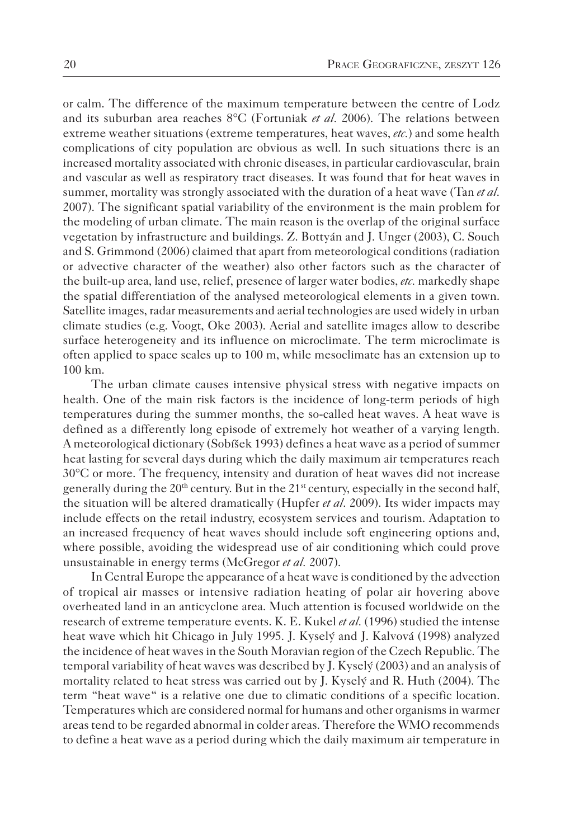or calm. The difference of the maximum temperature between the centre of Lodz and its suburban area reaches 8°C (Fortuniak *et al.* 2006). The relations between extreme weather situations (extreme temperatures, heat waves, *etc.*) and some health complications of city population are obvious as well. In such situations there is an increased mortality associated with chronic diseases, in particular cardiovascular, brain and vascular as well as respiratory tract diseases. It was found that for heat waves in summer, mortality was strongly associated with the duration of a heat wave (Tan *et al.*  2007). The significant spatial variability of the environment is the main problem for the modeling of urban climate. The main reason is the overlap of the original surface vegetation by infrastructure and buildings. Z. Bottyán and J. Unger (2003), C. Souch and S. Grimmond (2006) claimed that apart from meteorological conditions (radiation or advective character of the weather) also other factors such as the character of the built-up area, land use, relief, presence of larger water bodies, *etc.* markedly shape the spatial differentiation of the analysed meteorological elements in a given town. Satellite images, radar measurements and aerial technologies are used widely in urban climate studies (e.g. Voogt, Oke 2003). Aerial and satellite images allow to describe surface heterogeneity and its influence on microclimate. The term microclimate is often applied to space scales up to 100 m, while mesoclimate has an extension up to 100 km.

The urban climate causes intensive physical stress with negative impacts on health. One of the main risk factors is the incidence of long-term periods of high temperatures during the summer months, the so-called heat waves. A heat wave is defined as a differently long episode of extremely hot weather of a varying length. A meteorological dictionary (Sobíšek 1993) defines a heat wave as a period of summer heat lasting for several days during which the daily maximum air temperatures reach 30°C or more. The frequency, intensity and duration of heat waves did not increase generally during the  $20<sup>th</sup>$  century. But in the  $21<sup>st</sup>$  century, especially in the second half, the situation will be altered dramatically (Hupfer *et al*. 2009). Its wider impacts may include effects on the retail industry, ecosystem services and tourism. Adaptation to an increased frequency of heat waves should include soft engineering options and, where possible, avoiding the widespread use of air conditioning which could prove unsustainable in energy terms (McGregor *et al.* 2007).

In Central Europe the appearance of a heat wave is conditioned by the advection of tropical air masses or intensive radiation heating of polar air hovering above overheated land in an anticyclone area. Much attention is focused worldwide on the research of extreme temperature events. K. E. Kukel *et al.* (1996) studied the intense heat wave which hit Chicago in July 1995. J. Kyselý and J. Kalvová (1998) analyzed the incidence of heat waves in the South Moravian region of the Czech Republic. The temporal variability of heat waves was described by J. Kyselý (2003) and an analysis of mortality related to heat stress was carried out by J. Kyselý and R. Huth (2004). The term "heat wave" is a relative one due to climatic conditions of a specific location. Temperatures which are considered normal for humans and other organisms in warmer areas tend to be regarded abnormal in colder areas. Therefore the WMO recommends to define a heat wave as a period during which the daily maximum air temperature in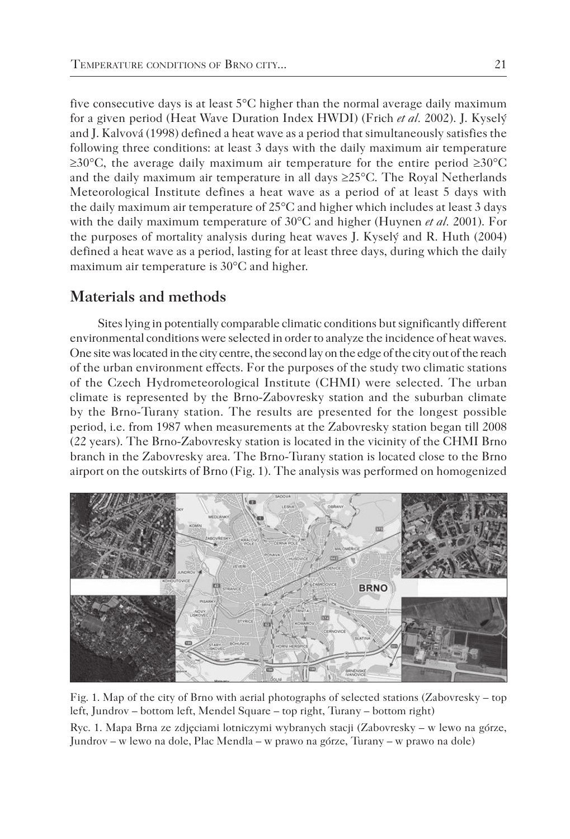five consecutive days is at least 5°C higher than the normal average daily maximum for a given period (Heat Wave Duration Index HWDI) (Frich *et al.* 2002). J. Kyselý and J. Kalvová (1998) defined a heat wave as a period that simultaneously satisfies the following three conditions: at least 3 days with the daily maximum air temperature  $\geq 30^{\circ}$ C, the average daily maximum air temperature for the entire period  $\geq 30^{\circ}$ C and the daily maximum air temperature in all days  $\geq 25^{\circ}$ C. The Royal Netherlands Meteorological Institute defines a heat wave as a period of at least 5 days with the daily maximum air temperature of 25°C and higher which includes at least 3 days with the daily maximum temperature of 30°C and higher (Huynen *et al.* 2001). For the purposes of mortality analysis during heat waves J. Kyselý and R. Huth (2004) defined a heat wave as a period, lasting for at least three days, during which the daily maximum air temperature is 30°C and higher.

## **Materials and methods**

Sites lying in potentially comparable climatic conditions but significantly different environmental conditions were selected in order to analyze the incidence of heat waves. One site was located in the city centre, the second lay on the edge of the city out of the reach of the urban environment effects. For the purposes of the study two climatic stations of the Czech Hydrometeorological Institute (CHMI) were selected. The urban climate is represented by the Brno-Zabovresky station and the suburban climate by the Brno-Turany station. The results are presented for the longest possible period, i.e. from 1987 when measurements at the Zabovresky station began till 2008 (22 years). The Brno-Zabovresky station is located in the vicinity of the CHMI Brno branch in the Zabovresky area. The Brno-Turany station is located close to the Brno airport on the outskirts of Brno (Fig. 1). The analysis was performed on homogenized



Fig. 1. Map of the city of Brno with aerial photographs of selected stations (Zabovresky – top left, Jundrov – bottom left, Mendel Square – top right, Turany – bottom right) Ryc. 1. Mapa Brna ze zdjęciami lotniczymi wybranych stacji (Zabovresky – w lewo na górze, Jundrov – w lewo na dole, Plac Mendla – w prawo na górze, Turany – w prawo na dole)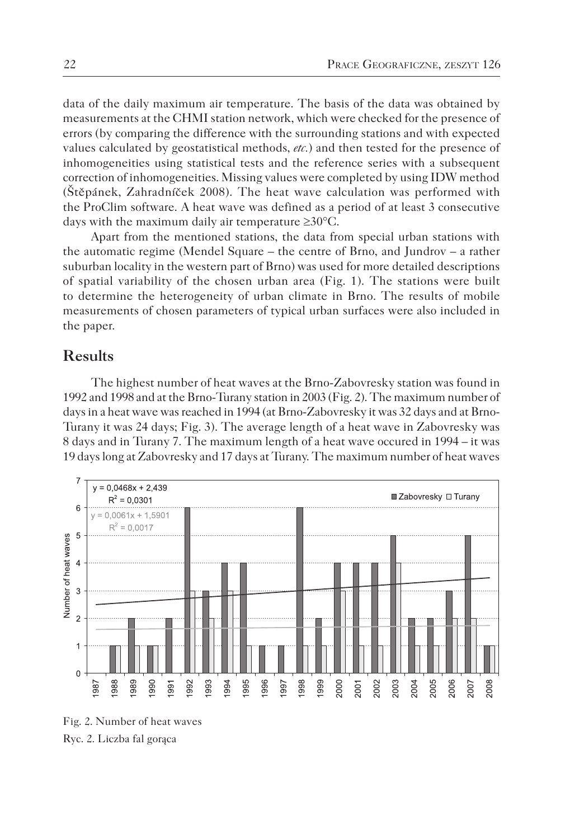data of the daily maximum air temperature. The basis of the data was obtained by measurements at the CHMI station network, which were checked for the presence of errors (by comparing the difference with the surrounding stations and with expected values calculated by geostatistical methods, *etc.*) and then tested for the presence of inhomogeneities using statistical tests and the reference series with a subsequent correction of inhomogeneities. Missing values were completed by using IDW method (Štěpánek, Zahradníček 2008). The heat wave calculation was performed with the ProClim software. A heat wave was defined as a period of at least 3 consecutive days with the maximum daily air temperature ≥30°C.

Apart from the mentioned stations, the data from special urban stations with the automatic regime (Mendel Square – the centre of Brno, and Jundrov – a rather suburban locality in the western part of Brno) was used for more detailed descriptions of spatial variability of the chosen urban area (Fig. 1). The stations were built to determine the heterogeneity of urban climate in Brno. The results of mobile measurements of chosen parameters of typical urban surfaces were also included in the paper.

### **Results**

The highest number of heat waves at the Brno-Zabovresky station was found in 1992 and 1998 and at the Brno-Turany station in 2003 (Fig. 2). The maximum number of days in a heat wave was reached in 1994 (at Brno-Zabovresky it was 32 days and at Brno-Turany it was 24 days; Fig. 3). The average length of a heat wave in Zabovresky was 8 days and in Turany 7. The maximum length of a heat wave occured in 1994 – it was 19 days long at Zabovresky and 17 days at Turany. The maximum number of heat waves



Fig. 2. Number of heat waves Ryc. 2. Liczba fal gorąca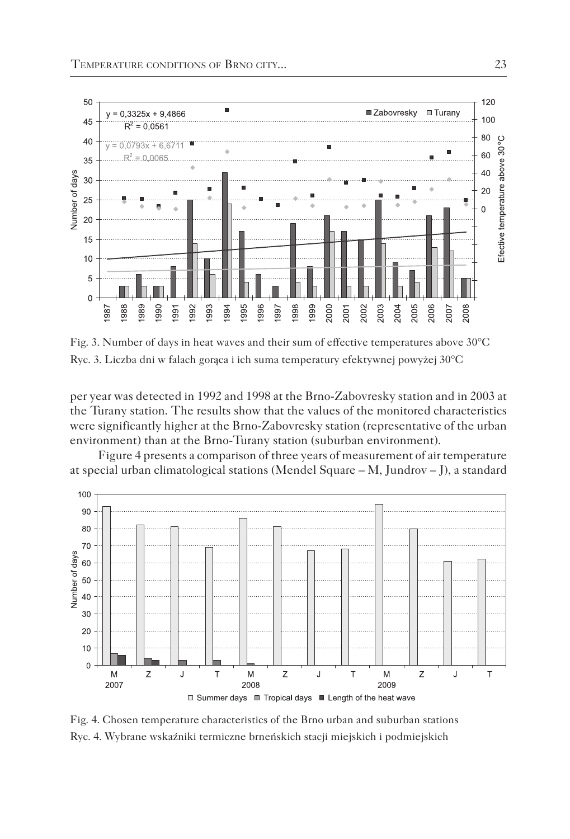

Fig. 3. Number of days in heat waves and their sum of effective temperatures above 30°C Ryc. 3. Liczba dni w falach gorąca i ich suma temperatury efektywnej powyżej 30°C

per year was detected in 1992 and 1998 at the Brno-Zabovresky station and in 2003 at the Turany station. The results show that the values of the monitored characteristics were significantly higher at the Brno-Zabovresky station (representative of the urban environment) than at the Brno-Turany station (suburban environment).

Figure 4 presents a comparison of three years of measurement of air temperature at special urban climatological stations (Mendel Square – M, Jundrov – J), a standard



Fig. 4. Chosen temperature characteristics of the Brno urban and suburban stations Ryc. 4. Wybrane wskaźniki termiczne brneńskich stacji miejskich i podmiejskich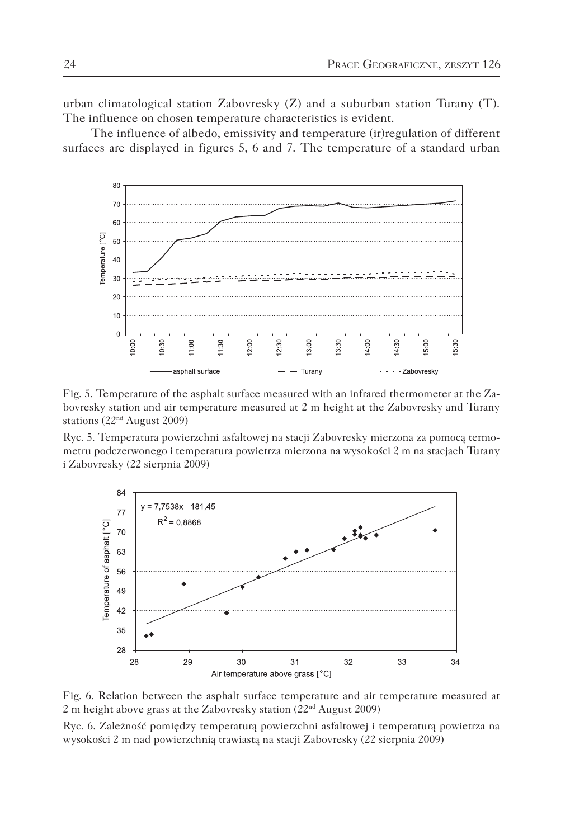urban climatological station Zabovresky  $(Z)$  and a suburban station Turany (T). The influence on chosen temperature characteristics is evident.

The influence of albedo, emissivity and temperature (ir)regulation of different surfaces are displayed in figures 5, 6 and 7. The temperature of a standard urban



Fig. 5. Temperature of the asphalt surface measured with an infrared thermometer at the Zabovresky station and air temperature measured at 2 m height at the Zabovresky and Turany stations (22nd August 2009)

Ryc. 5. Temperatura powierzchni asfaltowej na stacji Zabovresky mierzona za pomocą termometru podczerwonego i temperatura powietrza mierzona na wysokości 2 m na stacjach Turany i Zabovresky (22 sierpnia 2009)



Fig. 6. Relation between the asphalt surface temperature and air temperature measured at 2 m height above grass at the Zabovresky station (22nd August 2009)

Ryc. 6. Zależność pomiędzy temperaturą powierzchni asfaltowej i temperaturą powietrza na wysokości 2 m nad powierzchnią trawiastą na stacji Zabovresky (22 sierpnia 2009)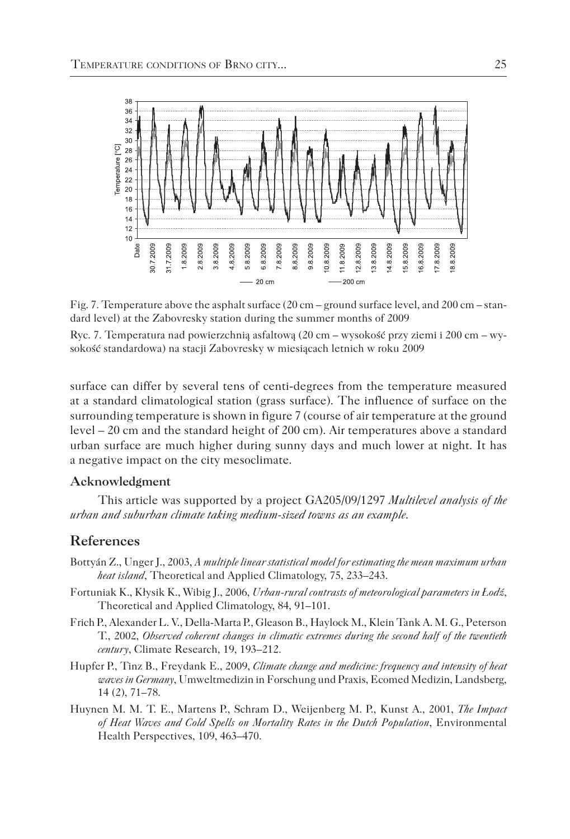

Fig. 7. Temperature above the asphalt surface (20 cm – ground surface level, and 200 cm – standard level) at the Zabovresky station during the summer months of 2009

Ryc. 7. Temperatura nad powierzchnią asfaltową (20 cm – wysokość przy ziemi i 200 cm – wysokość standardowa) na stacji Zabovresky w miesiącach letnich w roku 2009

surface can differ by several tens of centi-degrees from the temperature measured at a standard climatological station (grass surface). The influence of surface on the surrounding temperature is shown in figure 7 (course of air temperature at the ground level – 20 cm and the standard height of 200 cm). Air temperatures above a standard urban surface are much higher during sunny days and much lower at night. It has a negative impact on the city mesoclimate.

#### **Acknowledgment**

This article was supported by a project GA205/09/1297 *Multilevel analysis of the urban and suburban climate taking medium-sized towns as an example*.

#### **References**

- Bottyán Z., Unger J., 2003, *A multiple linear statistical model for estimating the mean maximum urban heat island*, Theoretical and Applied Climatology, 75, 233–243.
- Fortuniak K., Kłysik K., Wibig J., 2006, *Urban-rural contrasts of meteorological parameters in Łodź*, Theoretical and Applied Climatology, 84, 91–101.
- Frich P., Alexander L. V., Della-Marta P., Gleason B., Haylock M., Klein Tank A. M. G., Peterson T., 2002, *Observed coherent changes in climatic extremes during the second half of the twentieth century*, Climate Research, 19, 193–212.
- Hupfer P., Tinz B., Freydank E., 2009, *Climate change and medicine: frequency and intensity of heat waves in Germany*, Umweltmedizin in Forschung und Praxis, Ecomed Medizin, Landsberg, 14 (2), 71–78.
- Huynen M. M. T. E., Martens P., Schram D., Weijenberg M. P., Kunst A., 2001, *The Impact of Heat Waves and Cold Spells on Mortality Rates in the Dutch Population*, Environmental Health Perspectives, 109, 463–470.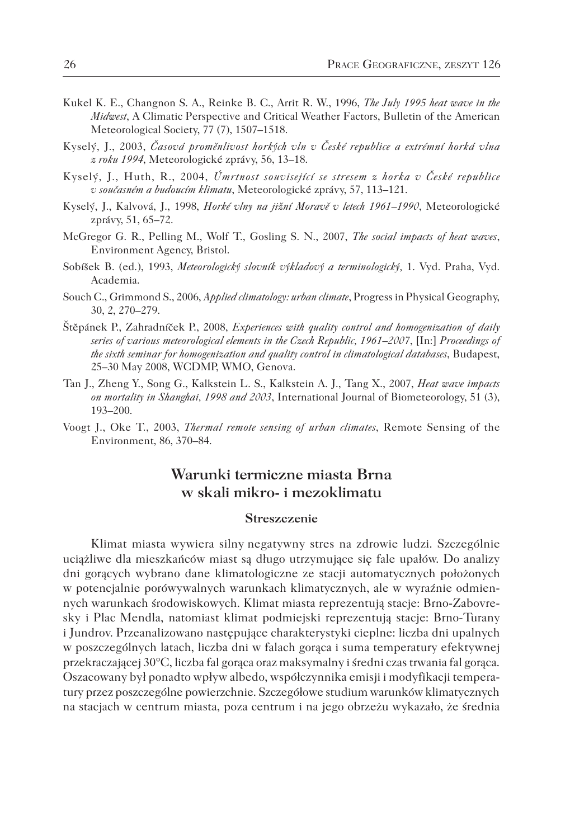- Kukel K. E., Changnon S. A., Reinke B. C., Arrit R. W., 1996, *The July 1995 heat wave in the Midwest*, A Climatic Perspective and Critical Weather Factors, Bulletin of the American Meteorological Society, 77 (7), 1507–1518.
- Kyselý, J., 2003, *Časová proměnlivost horkých vln v České republice a extrémní horká vlna z roku 1994*, Meteorologické zprávy, 56, 13–18.
- Kyselý, J., Huth, R., 2004, *Úmrtnost související se stresem z horka v České republice v současném a budoucím klimatu*, Meteorologické zprávy, 57, 113–121.
- Kyselý, J., Kalvová, J., 1998, *Horké vlny na jižní Moravě v letech 1961–1990*, Meteorologické zprávy, 51, 65–72.
- McGregor G. R., Pelling M., Wolf T., Gosling S. N., 2007, *The social impacts of heat waves*, Environment Agency, Bristol.
- Sobíšek B. (ed.), 1993, *Meteorologický slovník výkladový a terminologický,* 1. Vyd. Praha, Vyd. Academia.
- Souch C., Grimmond S., 2006, *Applied climatology: urban climate*, Progress in Physical Geography, 30, 2, 270–279.
- Štěpánek P., Zahradníček P., 2008, *Experiences with quality control and homogenization of daily series of various meteorological elements in the Czech Republic, 1961–2007*, [In:] *Proceedings of the sixth seminar for homogenization and quality control in climatological databases*, Budapest, 25–30 May 2008, WCDMP, WMO, Genova.
- Tan J., Zheng Y., Song G., Kalkstein L. S., Kalkstein A. J., Tang X., 2007, *Heat wave impacts on mortality in Shanghai, 1998 and 2003*, International Journal of Biometeorology, 51 (3), 193–200.
- Voogt J., Oke T., 2003, *Thermal remote sensing of urban climates*, Remote Sensing of the Environment, 86, 370–84.

## **Warunki termiczne miasta Brna w skali mikro- i mezoklimatu**

#### **Streszczenie**

Klimat miasta wywiera silny negatywny stres na zdrowie ludzi. Szczególnie uciążliwe dla mieszkańców miast są długo utrzymujące się fale upałów. Do analizy dni gorących wybrano dane klimatologiczne ze stacji automatycznych położonych w potencjalnie porówywalnych warunkach klimatycznych, ale w wyraźnie odmiennych warunkach środowiskowych. Klimat miasta reprezentują stacje: Brno-Zabovresky i Plac Mendla, natomiast klimat podmiejski reprezentują stacje: Brno-Turany i Jundrov. Przeanalizowano następujące charakterystyki cieplne: liczba dni upalnych w poszczególnych latach, liczba dni w falach gorąca i suma temperatury efektywnej przekraczającej 30°C, liczba fal gorąca oraz maksymalny i średni czas trwania fal gorąca. Oszacowany był ponadto wpływ albedo, współczynnika emisji i modyfikacji temperatury przez poszczególne powierzchnie. Szczegółowe studium warunków klimatycznych na stacjach w centrum miasta, poza centrum i na jego obrzeżu wykazało, że średnia